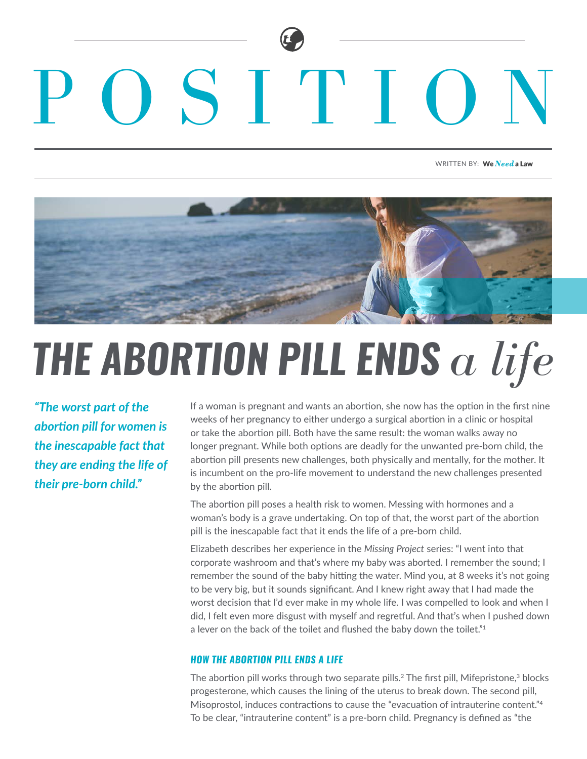# SITITIO

WRITTEN BY: We Need a Law



## *THE ABORTION PILL ENDS a life*

*"The worst part of the abortion pill for women is the inescapable fact that they are ending the life of their pre-born child."*

If a woman is pregnant and wants an abortion, she now has the option in the first nine weeks of her pregnancy to either undergo a surgical abortion in a clinic or hospital or take the abortion pill. Both have the same result: the woman walks away no longer pregnant. While both options are deadly for the unwanted pre-born child, the abortion pill presents new challenges, both physically and mentally, for the mother. It is incumbent on the pro-life movement to understand the new challenges presented by the abortion pill.

The abortion pill poses a health risk to women. Messing with hormones and a woman's body is a grave undertaking. On top of that, the worst part of the abortion pill is the inescapable fact that it ends the life of a pre-born child.

Elizabeth describes her experience in the *Missing Project* series: "I went into that corporate washroom and that's where my baby was aborted. I remember the sound; I remember the sound of the baby hitting the water. Mind you, at 8 weeks it's not going to be very big, but it sounds significant. And I knew right away that I had made the worst decision that I'd ever make in my whole life. I was compelled to look and when I did, I felt even more disgust with myself and regretful. And that's when I pushed down a lever on the back of the toilet and flushed the baby down the toilet."<sup>1</sup>

#### *HOW THE ABORTION PILL ENDS A LIFE*

The abortion pill works through two separate pills.<sup>2</sup> The first pill, Mifepristone,<sup>3</sup> blocks progesterone, which causes the lining of the uterus to break down. The second pill, Misoprostol, induces contractions to cause the "evacuation of intrauterine content."4 To be clear, "intrauterine content" is a pre-born child. Pregnancy is defined as "the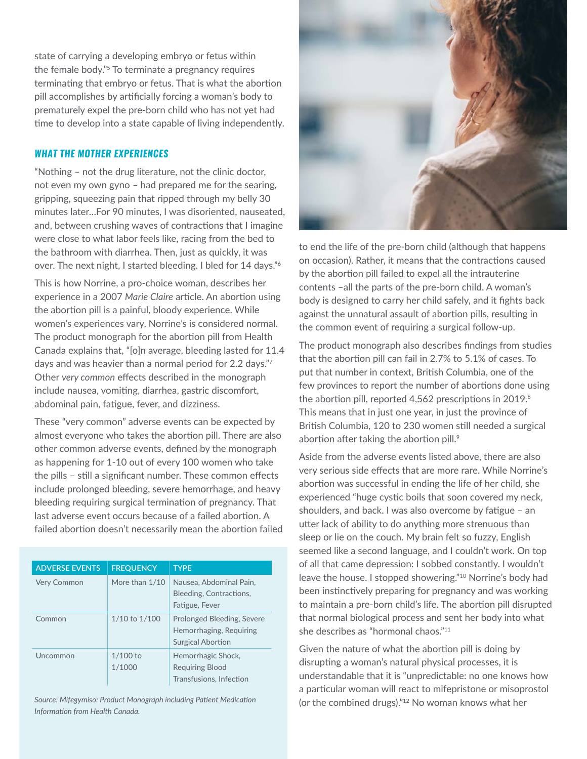state of carrying a developing embryo or fetus within the female body."5 To terminate a pregnancy requires terminating that embryo or fetus. That is what the abortion pill accomplishes by artificially forcing a woman's body to prematurely expel the pre-born child who has not yet had time to develop into a state capable of living independently.

#### *WHAT THE MOTHER EXPERIENCES*

"Nothing – not the drug literature, not the clinic doctor, not even my own gyno – had prepared me for the searing, gripping, squeezing pain that ripped through my belly 30 minutes later…For 90 minutes, I was disoriented, nauseated, and, between crushing waves of contractions that I imagine were close to what labor feels like, racing from the bed to the bathroom with diarrhea. Then, just as quickly, it was over. The next night, I started bleeding. I bled for 14 days."6

This is how Norrine, a pro-choice woman, describes her experience in a 2007 *Marie Claire* article. An abortion using the abortion pill is a painful, bloody experience. While women's experiences vary, Norrine's is considered normal. The product monograph for the abortion pill from Health Canada explains that, "[o]n average, bleeding lasted for 11.4 days and was heavier than a normal period for 2.2 days."<sup>7</sup> Other *very common* effects described in the monograph include nausea, vomiting, diarrhea, gastric discomfort, abdominal pain, fatigue, fever, and dizziness.

These "very common" adverse events can be expected by almost everyone who takes the abortion pill. There are also other common adverse events, defined by the monograph as happening for 1-10 out of every 100 women who take the pills – still a significant number. These common effects include prolonged bleeding, severe hemorrhage, and heavy bleeding requiring surgical termination of pregnancy. That last adverse event occurs because of a failed abortion. A failed abortion doesn't necessarily mean the abortion failed

| <b>ADVERSE EVENTS</b> | <b>FREQUENCY</b>     | <b>TYPE</b>                                                                       |
|-----------------------|----------------------|-----------------------------------------------------------------------------------|
| <b>Very Common</b>    | More than 1/10       | Nausea, Abdominal Pain,<br>Bleeding, Contractions,<br>Fatigue, Fever              |
| Common                | 1/10 to 1/100        | Prolonged Bleeding, Severe<br>Hemorrhaging, Requiring<br><b>Surgical Abortion</b> |
| Uncommon              | $1/100$ to<br>1/1000 | Hemorrhagic Shock,<br><b>Requiring Blood</b><br>Transfusions, Infection           |

*Source: Mifegymiso: Product Monograph including Patient Medication Information from Health Canada.*



to end the life of the pre-born child (although that happens on occasion). Rather, it means that the contractions caused by the abortion pill failed to expel all the intrauterine contents –all the parts of the pre-born child. A woman's body is designed to carry her child safely, and it fights back against the unnatural assault of abortion pills, resulting in the common event of requiring a surgical follow-up.

The product monograph also describes findings from studies that the abortion pill can fail in 2.7% to 5.1% of cases. To put that number in context, British Columbia, one of the few provinces to report the number of abortions done using the abortion pill, reported 4,562 prescriptions in 2019.<sup>8</sup> This means that in just one year, in just the province of British Columbia, 120 to 230 women still needed a surgical abortion after taking the abortion pill.<sup>9</sup>

Aside from the adverse events listed above, there are also very serious side effects that are more rare. While Norrine's abortion was successful in ending the life of her child, she experienced "huge cystic boils that soon covered my neck, shoulders, and back. I was also overcome by fatigue – an utter lack of ability to do anything more strenuous than sleep or lie on the couch. My brain felt so fuzzy, English seemed like a second language, and I couldn't work. On top of all that came depression: I sobbed constantly. I wouldn't leave the house. I stopped showering."10 Norrine's body had been instinctively preparing for pregnancy and was working to maintain a pre-born child's life. The abortion pill disrupted that normal biological process and sent her body into what she describes as "hormonal chaos."<sup>11</sup>

Given the nature of what the abortion pill is doing by disrupting a woman's natural physical processes, it is understandable that it is "unpredictable: no one knows how a particular woman will react to mifepristone or misoprostol (or the combined drugs)."12 No woman knows what her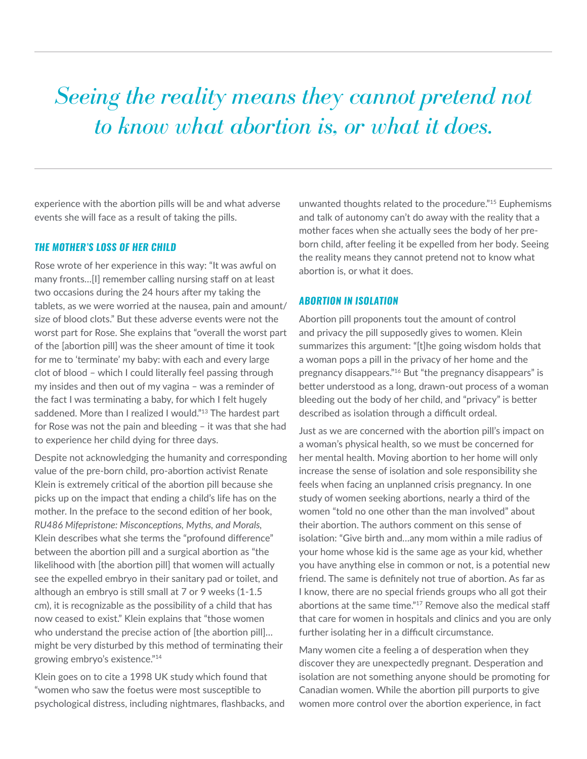### *Seeing the reality means they cannot pretend not to know what abortion is, or what it does.*

experience with the abortion pills will be and what adverse events she will face as a result of taking the pills.

#### *THE MOTHER'S LOSS OF HER CHILD*

Rose wrote of her experience in this way: "It was awful on many fronts…[I] remember calling nursing staff on at least two occasions during the 24 hours after my taking the tablets, as we were worried at the nausea, pain and amount/ size of blood clots." But these adverse events were not the worst part for Rose. She explains that "overall the worst part of the [abortion pill] was the sheer amount of time it took for me to 'terminate' my baby: with each and every large clot of blood – which I could literally feel passing through my insides and then out of my vagina – was a reminder of the fact I was terminating a baby, for which I felt hugely saddened. More than I realized I would."<sup>13</sup> The hardest part for Rose was not the pain and bleeding – it was that she had to experience her child dying for three days.

Despite not acknowledging the humanity and corresponding value of the pre-born child, pro-abortion activist Renate Klein is extremely critical of the abortion pill because she picks up on the impact that ending a child's life has on the mother. In the preface to the second edition of her book, *RU486 Mifepristone: Misconceptions, Myths, and Morals,* Klein describes what she terms the "profound difference" between the abortion pill and a surgical abortion as "the likelihood with [the abortion pill] that women will actually see the expelled embryo in their sanitary pad or toilet, and although an embryo is still small at 7 or 9 weeks (1-1.5 cm), it is recognizable as the possibility of a child that has now ceased to exist." Klein explains that "those women who understand the precise action of [the abortion pill]... might be very disturbed by this method of terminating their growing embryo's existence."14

Klein goes on to cite a 1998 UK study which found that "women who saw the foetus were most susceptible to psychological distress, including nightmares, flashbacks, and unwanted thoughts related to the procedure."15 Euphemisms and talk of autonomy can't do away with the reality that a mother faces when she actually sees the body of her preborn child, after feeling it be expelled from her body. Seeing the reality means they cannot pretend not to know what abortion is, or what it does.

#### *ABORTION IN ISOLATION*

Abortion pill proponents tout the amount of control and privacy the pill supposedly gives to women. Klein summarizes this argument: "[t]he going wisdom holds that a woman pops a pill in the privacy of her home and the pregnancy disappears."16 But "the pregnancy disappears" is better understood as a long, drawn-out process of a woman bleeding out the body of her child, and "privacy" is better described as isolation through a difficult ordeal.

Just as we are concerned with the abortion pill's impact on a woman's physical health, so we must be concerned for her mental health. Moving abortion to her home will only increase the sense of isolation and sole responsibility she feels when facing an unplanned crisis pregnancy. In one study of women seeking abortions, nearly a third of the women "told no one other than the man involved" about their abortion. The authors comment on this sense of isolation: "Give birth and…any mom within a mile radius of your home whose kid is the same age as your kid, whether you have anything else in common or not, is a potential new friend. The same is definitely not true of abortion. As far as I know, there are no special friends groups who all got their abortions at the same time."17 Remove also the medical staff that care for women in hospitals and clinics and you are only further isolating her in a difficult circumstance.

Many women cite a feeling a of desperation when they discover they are unexpectedly pregnant. Desperation and isolation are not something anyone should be promoting for Canadian women. While the abortion pill purports to give women more control over the abortion experience, in fact